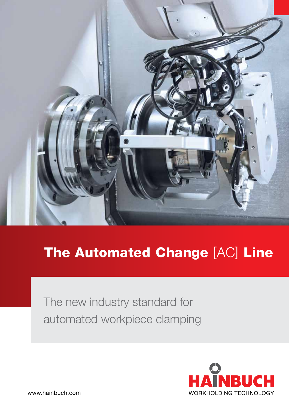

# The Automated Change [AC] Line

The new industry standard for automated workpiece clamping

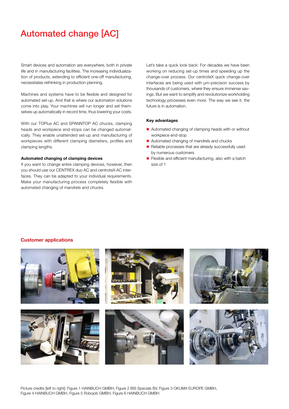## Automated change [AC]

Smart devices and automation are everywhere, both in private life and in manufacturing facilities. The increasing individualization of products, extending to efficient one-off manufacturing, necessitates rethinking in production planning.

Machines and systems have to be flexible and designed for automated set-up. And that is where our automation solutions come into play. Your machines will run longer and set themselves up automatically in record time, thus lowering your costs.

With our TOPlus AC and SPANNTOP AC chucks, clamping heads and workpiece end-stops can be changed automatically. They enable unattended set-up and manufacturing of workpieces with different clamping diameters, profiles and clamping lengths.

#### Automated changing of clamping devices

If you want to change entire clamping devices, however, then you should use our CENTREX duo AC and centroteX AC interfaces. They can be adapted to your individual requirements. Make your manufacturing process completely flexible with automated changing of mandrels and chucks.

Let's take a quick look back: For decades we have been working on reducing set-up times and speeding up the change-over process. Our centroteX quick change-over interfaces are being used with µm-precision success by thousands of customers, where they ensure immense savings. But we want to simplify and revolutionize workholding technology processes even more. The way we see it, the future is in automation.

#### Key advantages

- $\blacksquare$  Automated changing of clamping heads with or without workpiece end-stop
- Automated changing of mandrels and chucks
- $\blacksquare$  Reliable processes that are already successfully used by numerous customers
- Flexible and efficient manufacturing, also with a batch size of 1

#### Customer applications

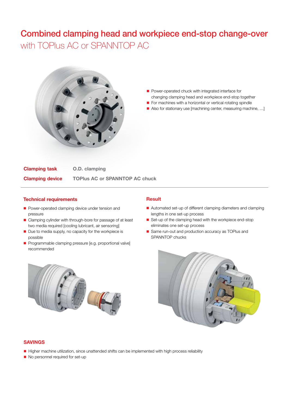## Combined clamping head and workpiece end-stop change-over with TOPlus AC or SPANNTOP AC



- **n** Power-operated chuck with integrated interface for changing clamping head and workpiece end-stop together
- For machines with a horizontal or vertical rotating spindle
- Also for stationary use [machining center, measuring machine, ...]

Clamping task Clamping device O.D. clamping TOPlus AC or SPANNTOP AC chuck

#### Technical requirements

- **n** Power-operated clamping device under tension and pressure
- Clamping cylinder with through-bore for passage of at least two media required [cooling lubricant, air sensoring]
- $\blacksquare$  Due to media supply, no capacity for the workpiece is possible
- **n** Programmable clamping pressure [e.g. proportional valve] recommended

#### **Result**

- Automated set-up of different clamping diameters and clamping lengths in one set-up process
- Set-up of the clamping head with the workpiece end-stop eliminates one set-up process
- Same run-out and production accuracy as TOPlus and SPANNTOP chucks





- n Higher machine utilization, since unattended shifts can be implemented with high process reliability
- No personnel required for set-up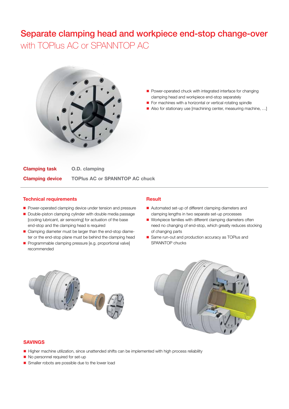### Separate clamping head and workpiece end-stop change-over with TOPlus AC or SPANNTOP AC



- Power-operated chuck with integrated interface for changing clamping head and workpiece end-stop separately
- For machines with a horizontal or vertical rotating spindle
- Also for stationary use [machining center, measuring machine, ...]

Clamping task Clamping device O.D. clamping TOPlus AC or SPANNTOP AC chuck

#### Technical requirements

- **n** Power-operated clamping device under tension and pressure
- Double-piston clamping cylinder with double media passage [cooling lubricant, air sensoring] for actuation of the base end-stop and the clamping head is required
- Clamping diameter must be larger than the end-stop diameter or the end-stop plane must be behind the clamping head
- **n** Programmable clamping pressure [e.g. proportional valve] recommended

#### Result

- Automated set-up of different clamping diameters and clamping lengths in two separate set-up processes
- Workpiece families with different clamping diameters often need no changing of end-stop, which greatly reduces stocking of changing parts
- Same run-out and production accuracy as TOPlus and SPANNTOP chucks





#### SAVINGS

- Higher machine utilization, since unattended shifts can be implemented with high process reliability
- No personnel required for set-up
- **n** Smaller robots are possible due to the lower load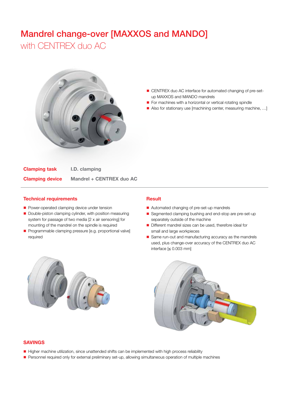### Mandrel change-over [MAXXOS and MANDO] with CENTREX duo AC



- CENTREX duo AC interface for automated changing of pre-setup MAXXOS and MANDO mandrels
- For machines with a horizontal or vertical rotating spindle
- Also for stationary use [machining center, measuring machine, ...]

Clamping task Clamping device I.D. clamping Mandrel + CENTREX duo AC

#### Technical requirements

- **Power-operated clamping device under tension**
- Double-piston clamping cylinder, with position measuring system for passage of two media [2 x air sensoring] for mounting of the mandrel on the spindle is required
- **n** Programmable clamping pressure [e.g. proportional valve] required

#### Result

- Automated changing of pre-set-up mandrels
- Segmented clamping bushing and end-stop are pre-set-up separately outside of the machine
- Different mandrel sizes can be used, therefore ideal for small and large workpieces
- Same run-out and manufacturing accuracy as the mandrels used, plus change-over accuracy of the CENTREX duo AC interface [≤ 0.003 mm]





#### SAVINGS

- n Higher machine utilization, since unattended shifts can be implemented with high process reliability
- **n** Personnel required only for external preliminary set-up, allowing simultaneous operation of multiple machines